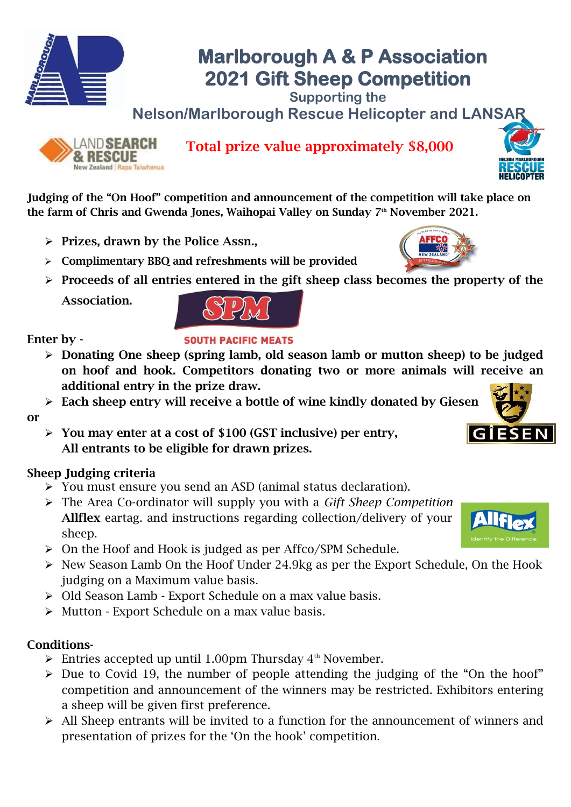

# **Marlborough A & P Association 2021 Gift Sheep Competition**

**Supporting the Nelson/Marlborough Rescue Helicopter and LANSAR**



Total prize value approximately \$8,000



Judging of the "On Hoof" competition and announcement of the competition will take place on the farm of Chris and Gwenda Jones, Waihopai Valley on Sunday 7<sup>th</sup> November 2021.

- $\triangleright$  Prizes, drawn by the Police Assn.,
- ➢ Complimentary BBQ and refreshments will be provided
- ➢ Proceeds of all entries entered in the gift sheep class becomes the property of the
	- Association.



### Enter by -

or

#### **SOUTH PACIFIC MEATS**

- ➢ Donating One sheep (spring lamb, old season lamb or mutton sheep) to be judged on hoof and hook. Competitors donating two or more animals will receive an additional entry in the prize draw.
- ➢ Each sheep entry will receive a bottle of wine kindly donated by Giesen
- $\triangleright$  You may enter at a cost of \$100 (GST inclusive) per entry, All entrants to be eligible for drawn prizes.

### Sheep Judging criteria

- ➢ You must ensure you send an ASD (animal status declaration).
- ➢ The Area Co-ordinator will supply you with a *Gift Sheep Competition* Allflex eartag. and instructions regarding collection/delivery of your sheep.
- ➢ On the Hoof and Hook is judged as per Affco/SPM Schedule.
- ➢ New Season Lamb On the Hoof Under 24.9kg as per the Export Schedule, On the Hook judging on a Maximum value basis.
- ➢ Old Season Lamb Export Schedule on a max value basis.
- ➢ Mutton Export Schedule on a max value basis.

#### Conditions-

- $\triangleright$  Entries accepted up until 1.00pm Thursday 4<sup>th</sup> November.
- ➢ Due to Covid 19, the number of people attending the judging of the "On the hoof" competition and announcement of the winners may be restricted. Exhibitors entering a sheep will be given first preference.
- ➢ All Sheep entrants will be invited to a function for the announcement of winners and presentation of prizes for the 'On the hook' competition.





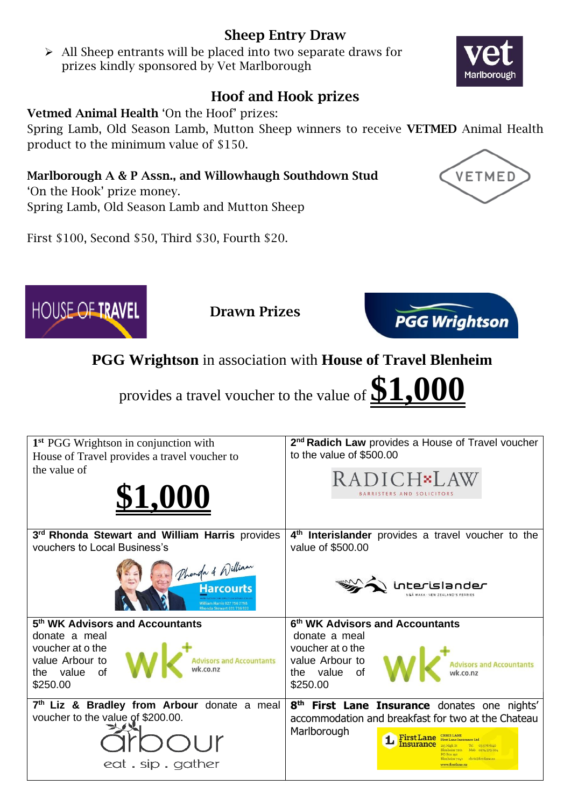## Sheep Entry Draw

➢ All Sheep entrants will be placed into two separate draws for prizes kindly sponsored by Vet Marlborough

## Hoof and Hook prizes

#### Vetmed Animal Health 'On the Hoof' prizes:

Spring Lamb, Old Season Lamb, Mutton Sheep winners to receive VETMED Animal Health product to the minimum value of \$150.

Marlborough A & P Assn., and Willowhaugh Southdown Stud

'On the Hook' prize money. Spring Lamb, Old Season Lamb and Mutton Sheep

First \$100, Second \$50, Third \$30, Fourth \$20.

**7 th Liz & Bradley from Arbour** donate a meal

eat.sip.gather

the value of

voucher to the value of \$200.00.

\$250.00





the value of

\$250.00

**Marlborough** 





**1** First Lane

**8 th First Lane Insurance** donates one nights' accommodation and breakfast for two at the Chateau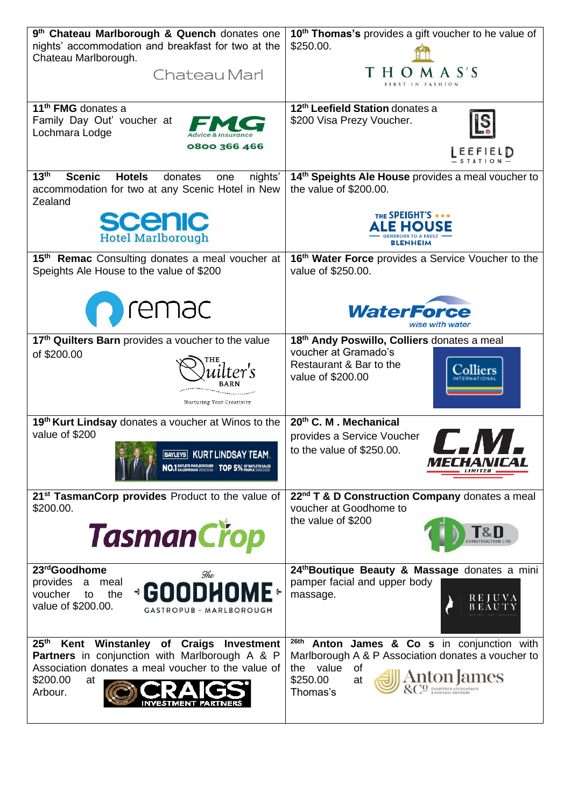| 9th Chateau Marlborough & Quench donates one<br>nights' accommodation and breakfast for two at the<br>Chateau Marlborough.<br>Chateau Marl                                                              | 10 <sup>th</sup> Thomas's provides a gift voucher to he value of<br>\$250.00.<br>A S'S<br>H<br>FIRST IN<br>FASHION                                                |
|---------------------------------------------------------------------------------------------------------------------------------------------------------------------------------------------------------|-------------------------------------------------------------------------------------------------------------------------------------------------------------------|
| 11 <sup>th</sup> FMG donates a<br>Family Day Out' voucher at<br>Lochmara Lodge<br>0800 366 466                                                                                                          | 12 <sup>th</sup> Leefield Station donates a<br>\$200 Visa Prezy Voucher.<br>EEFIELD                                                                               |
| 13 <sup>th</sup><br><b>Hotels</b><br><b>Scenic</b><br>donates<br>nights'<br>one<br>accommodation for two at any Scenic Hotel in New<br>Zealand                                                          | 14th Speights Ale House provides a meal voucher to<br>the value of \$200.00.                                                                                      |
| <b>scenic</b><br><b>Hotel Marlborough</b>                                                                                                                                                               | THE SPEIGHT'S ***<br><b>E HOUSE</b><br><b>BLENHEIM</b>                                                                                                            |
| 15th Remac Consulting donates a meal voucher at<br>Speights Ale House to the value of \$200                                                                                                             | 16th Water Force provides a Service Voucher to the<br>value of \$250.00.                                                                                          |
| remac                                                                                                                                                                                                   | <b>WaterForce</b><br>wise with water                                                                                                                              |
| 17th Quilters Barn provides a voucher to the value<br>of \$200.00<br>Nurturing Your Creativity                                                                                                          | 18th Andy Poswillo, Colliers donates a meal<br>voucher at Gramado's<br>Restaurant & Bar to the<br>value of \$200.00                                               |
| 19th Kurt Lindsay donates a voucher at Winos to the<br>value of \$200<br><b>BAYLEYS</b> KURT LINDSAY TEAM.<br>NO.1 BAYLEYS MARLBOROUGH                                                                  | 20th C. M. Mechanical<br>provides a Service Voucher<br>to the value of \$250.00.<br>IELHAWILAT                                                                    |
| 21 <sup>st</sup> TasmanCorp provides Product to the value of<br>\$200.00.<br><b>TasmanCrop</b>                                                                                                          | 22 <sup>nd</sup> T & D Construction Company donates a meal<br>voucher at Goodhome to<br>the value of \$200                                                        |
| 23rdGoodhome<br>The<br>provides<br>meal<br>a<br><b>GOODHOME:</b><br>voucher<br>the<br>to<br>value of \$200.00.<br>GASTROPUB - MARLBOROUGH                                                               | 24th Boutique Beauty & Massage donates a mini<br>pamper facial and upper body<br>massage.<br>REJUVA                                                               |
| 25 <sup>th</sup><br>Kent Winstanley of Craigs<br>Investment<br><b>Partners</b> in conjunction with Marlborough A & P<br>Association donates a meal voucher to the value of<br>\$200.00<br>at<br>Arbour. | 26th<br>Anton James & Co s in conjunction with<br>Marlborough A & P Association donates a voucher to<br>value<br>of<br>the<br>Anton<br>\$250.00<br>at<br>Thomas's |